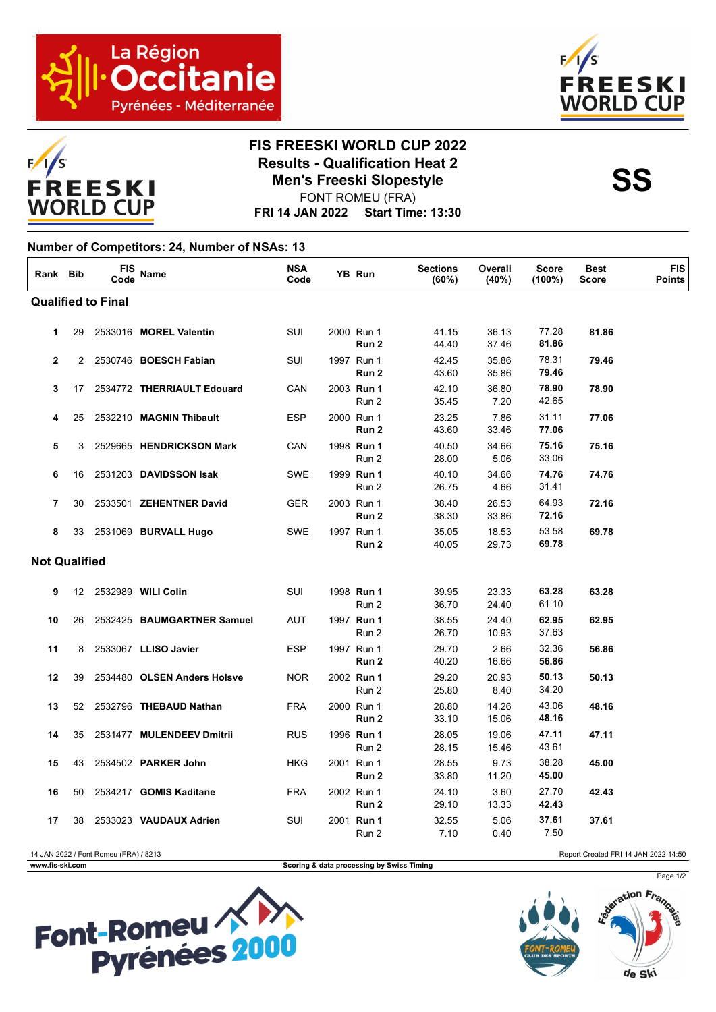





## **FIS FREESKI WORLD CUP 2022 Results - Qualification Heat 2**<br>Men's Freeski Slopestyle<br>SS **Men's Freeski Slopestyle**

**FRI 14 JAN 2022 Start Time: 13:30** FONT ROMEU (FRA)

## **Number of Competitors: 24, Number of NSAs: 13**

| Rank Bib                                                                      |    | FIS<br>Code | Name                        | <b>NSA</b><br>Code |  | YB Run              | <b>Sections</b><br>(60%) | Overall<br>(40%) | <b>Score</b><br>$(100\%)$ | <b>Best</b><br><b>Score</b> | <b>FIS</b><br><b>Points</b> |
|-------------------------------------------------------------------------------|----|-------------|-----------------------------|--------------------|--|---------------------|--------------------------|------------------|---------------------------|-----------------------------|-----------------------------|
| <b>Qualified to Final</b>                                                     |    |             |                             |                    |  |                     |                          |                  |                           |                             |                             |
| 1                                                                             | 29 |             | 2533016 MOREL Valentin      | SUI                |  | 2000 Run 1<br>Run 2 | 41.15<br>44.40           | 36.13<br>37.46   | 77.28<br>81.86            | 81.86                       |                             |
| $\mathbf{2}$                                                                  | 2  |             | 2530746 BOESCH Fabian       | SUI                |  | 1997 Run 1<br>Run 2 | 42.45<br>43.60           | 35.86<br>35.86   | 78.31<br>79.46            | 79.46                       |                             |
| 3                                                                             | 17 |             | 2534772 THERRIAULT Edouard  | CAN                |  | 2003 Run 1<br>Run 2 | 42.10<br>35.45           | 36.80<br>7.20    | 78.90<br>42.65            | 78.90                       |                             |
| 4                                                                             | 25 |             | 2532210 MAGNIN Thibault     | <b>ESP</b>         |  | 2000 Run 1<br>Run 2 | 23.25<br>43.60           | 7.86<br>33.46    | 31.11<br>77.06            | 77.06                       |                             |
| 5                                                                             | 3  |             | 2529665 HENDRICKSON Mark    | CAN                |  | 1998 Run 1<br>Run 2 | 40.50<br>28.00           | 34.66<br>5.06    | 75.16<br>33.06            | 75.16                       |                             |
| 6                                                                             | 16 |             | 2531203 DAVIDSSON Isak      | <b>SWE</b>         |  | 1999 Run 1<br>Run 2 | 40.10<br>26.75           | 34.66<br>4.66    | 74.76<br>31.41            | 74.76                       |                             |
| $\overline{7}$                                                                | 30 |             | 2533501 ZEHENTNER David     | <b>GER</b>         |  | 2003 Run 1<br>Run 2 | 38.40<br>38.30           | 26.53<br>33.86   | 64.93<br>72.16            | 72.16                       |                             |
| 8                                                                             | 33 |             | 2531069 BURVALL Hugo        | <b>SWE</b>         |  | 1997 Run 1<br>Run 2 | 35.05<br>40.05           | 18.53<br>29.73   | 53.58<br>69.78            | 69.78                       |                             |
| <b>Not Qualified</b>                                                          |    |             |                             |                    |  |                     |                          |                  |                           |                             |                             |
| 9                                                                             | 12 |             | 2532989 WILI Colin          | SUI                |  | 1998 Run 1<br>Run 2 | 39.95<br>36.70           | 23.33<br>24.40   | 63.28<br>61.10            | 63.28                       |                             |
| 10                                                                            | 26 |             | 2532425 BAUMGARTNER Samuel  | <b>AUT</b>         |  | 1997 Run 1<br>Run 2 | 38.55<br>26.70           | 24.40<br>10.93   | 62.95<br>37.63            | 62.95                       |                             |
| 11                                                                            | 8  |             | 2533067 LLISO Javier        | <b>ESP</b>         |  | 1997 Run 1<br>Run 2 | 29.70<br>40.20           | 2.66<br>16.66    | 32.36<br>56.86            | 56.86                       |                             |
| 12                                                                            | 39 |             | 2534480 OLSEN Anders Holsve | <b>NOR</b>         |  | 2002 Run 1<br>Run 2 | 29.20<br>25.80           | 20.93<br>8.40    | 50.13<br>34.20            | 50.13                       |                             |
| 13                                                                            | 52 |             | 2532796 THEBAUD Nathan      | <b>FRA</b>         |  | 2000 Run 1<br>Run 2 | 28.80<br>33.10           | 14.26<br>15.06   | 43.06<br>48.16            | 48.16                       |                             |
| 14                                                                            | 35 |             | 2531477 MULENDEEV Dmitrii   | <b>RUS</b>         |  | 1996 Run 1<br>Run 2 | 28.05<br>28.15           | 19.06<br>15.46   | 47.11<br>43.61            | 47.11                       |                             |
| 15                                                                            | 43 |             | 2534502 PARKER John         | <b>HKG</b>         |  | 2001 Run 1<br>Run 2 | 28.55<br>33.80           | 9.73<br>11.20    | 38.28<br>45.00            | 45.00                       |                             |
| 16                                                                            | 50 |             | 2534217 GOMIS Kaditane      | <b>FRA</b>         |  | 2002 Run 1<br>Run 2 | 24.10<br>29.10           | 3.60<br>13.33    | 27.70<br>42.43            | 42.43                       |                             |
| 17                                                                            | 38 |             | 2533023 VAUDAUX Adrien      | SUI                |  | 2001 Run 1<br>Run 2 | 32.55<br>7.10            | 5.06<br>0.40     | 37.61<br>7.50             | 37.61                       |                             |
| 14 JAN 2022 / Font Romeu (FRA) / 8213<br>Report Created FRI 14 JAN 2022 14:50 |    |             |                             |                    |  |                     |                          |                  |                           |                             |                             |